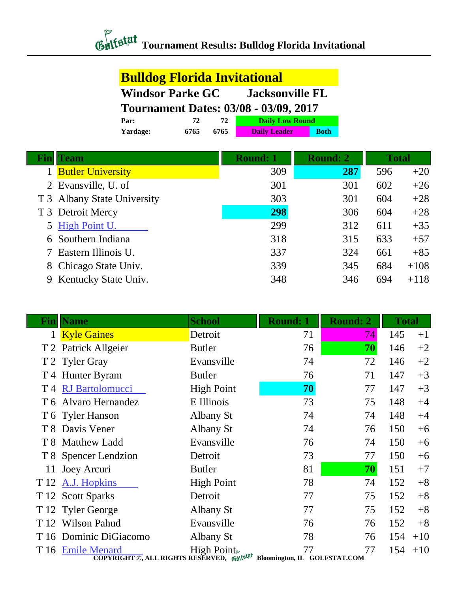### *Chitstat* Tournament Results: Bulldog Florida Invitational

### **Bulldog Florida Invitational**

#### **Windsor Parke GC Jacksonville FL**

#### **Tournament Dates: 03/08 - 03/09, 2017**

| Par:     |      |      | <b>Daily Low Round</b> |             |
|----------|------|------|------------------------|-------------|
| Yardage: | 6765 | 6765 | <b>Daily Leader</b>    | <b>Both</b> |

| Fin | <b>Team</b>                 | <b>Round: 1</b> | <b>Round: 2</b> | <b>Total</b> |        |
|-----|-----------------------------|-----------------|-----------------|--------------|--------|
|     | <b>Butler University</b>    | 309             | 287             | 596          | $+20$  |
|     | 2 Evansville, U. of         | 301             | 301             | 602          | $+26$  |
|     | T 3 Albany State University | 303             | 301             | 604          | $+28$  |
|     | T 3 Detroit Mercy           | 298             | 306             | 604          | $+28$  |
|     | 5 High Point U.             | 299             | 312             | 611          | $+35$  |
|     | 6 Southern Indiana          | 318             | 315             | 633          | $+57$  |
|     | 7 Eastern Illinois U.       | 337             | 324             | 661          | $+85$  |
|     | 8 Chicago State Univ.       | 339             | 345             | 684          | $+108$ |
|     | 9 Kentucky State Univ.      | 348             | 346             | 694          | $+118$ |

| Finl | <b>Name</b>                                                                                                                       | <b>School</b>     | <b>Round: 1</b> | <b>Round: 2</b> | <b>Total</b> |       |
|------|-----------------------------------------------------------------------------------------------------------------------------------|-------------------|-----------------|-----------------|--------------|-------|
|      | 1 Kyle Gaines                                                                                                                     | Detroit           | 71              | 74              | 145          | $+1$  |
|      | T 2 Patrick Allgeier                                                                                                              | <b>Butler</b>     | 76              | 70              | 146          | $+2$  |
|      | T 2 Tyler Gray                                                                                                                    | Evansville        | 74              | 72              | 146          | $+2$  |
|      | T 4 Hunter Byram                                                                                                                  | <b>Butler</b>     | 76              | 71              | 147          | $+3$  |
|      | T 4 RJ Bartolomucci                                                                                                               | <b>High Point</b> | 70              | 77              | 147          | $+3$  |
|      | T 6 Alvaro Hernandez                                                                                                              | E Illinois        | 73              | 75              | 148          | $+4$  |
|      | T 6 Tyler Hanson                                                                                                                  | Albany St         | 74              | 74              | 148          | $+4$  |
|      | T 8 Davis Vener                                                                                                                   | Albany St         | 74              | 76              | 150          | $+6$  |
|      | T 8 Matthew Ladd                                                                                                                  | Evansville        | 76              | 74              | 150          | $+6$  |
|      | T 8 Spencer Lendzion                                                                                                              | Detroit           | 73              | 77              | 150          | $+6$  |
| 11   | Joey Arcuri                                                                                                                       | <b>Butler</b>     | 81              | 70              | 151          | $+7$  |
|      | T 12 A.J. Hopkins                                                                                                                 | <b>High Point</b> | 78              | 74              | 152          | $+8$  |
|      | T 12 Scott Sparks                                                                                                                 | Detroit           | 77              | 75              | 152          | $+8$  |
|      | T 12 Tyler George                                                                                                                 | Albany St         | 77              | 75              | 152          | $+8$  |
|      | T 12 Wilson Pahud                                                                                                                 | Evansville        | 76              | 76              | 152          | $+8$  |
|      | T 16 Dominic DiGiacomo                                                                                                            | Albany St         | 78              | 76              | 154          | $+10$ |
| T 16 | <b>Menard</b> High Point<br><b>COPYRIGHT ©, ALL RIGHTS RESERVED,</b> Golfstat Bloomington, IL GOLFSTAT.COM<br><b>Emile Menard</b> |                   |                 | 77              | 154          | $+10$ |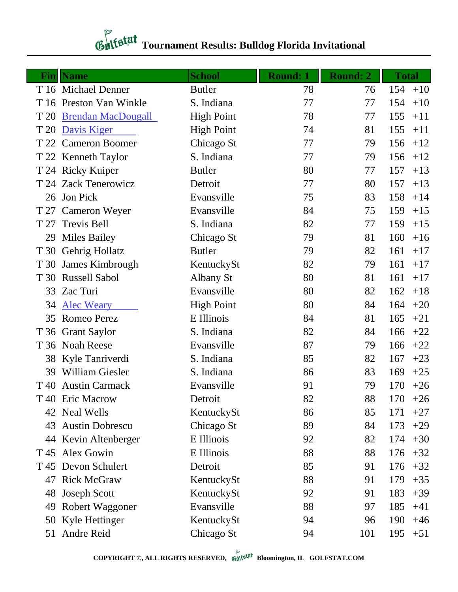# *Chitstat* Tournament Results: Bulldog Florida Invitational

| Fin  | <b>Name</b>               | <b>School</b>     | <b>Round: 1</b> | <b>Round: 2</b> | <b>Total</b> |
|------|---------------------------|-------------------|-----------------|-----------------|--------------|
|      | T 16 Michael Denner       | <b>Butler</b>     | 78              | 76              | 154<br>$+10$ |
|      | T 16 Preston Van Winkle   | S. Indiana        | 77              | 77              | 154<br>$+10$ |
| T 20 | <b>Brendan MacDougall</b> | <b>High Point</b> | 78              | 77              | 155<br>$+11$ |
| T 20 | Davis Kiger               | <b>High Point</b> | 74              | 81              | 155<br>$+11$ |
|      | T 22 Cameron Boomer       | Chicago St        | 77              | 79              | 156<br>$+12$ |
|      | T 22 Kenneth Taylor       | S. Indiana        | 77              | 79              | 156<br>$+12$ |
|      | T 24 Ricky Kuiper         | <b>Butler</b>     | 80              | 77              | 157<br>$+13$ |
|      | T 24 Zack Tenerowicz      | Detroit           | 77              | 80              | 157<br>$+13$ |
|      | 26 Jon Pick               | Evansville        | 75              | 83              | 158<br>$+14$ |
| T 27 | <b>Cameron Weyer</b>      | Evansville        | 84              | 75              | 159<br>$+15$ |
| T 27 | <b>Trevis Bell</b>        | S. Indiana        | 82              | 77              | 159<br>$+15$ |
| 29   | <b>Miles Bailey</b>       | Chicago St        | 79              | 81              | 160<br>$+16$ |
|      | T 30 Gehrig Hollatz       | <b>Butler</b>     | 79              | 82              | 161<br>$+17$ |
|      | T 30 James Kimbrough      | KentuckySt        | 82              | 79              | 161<br>$+17$ |
| T 30 | <b>Russell Sabol</b>      | <b>Albany St</b>  | 80              | 81              | 161<br>$+17$ |
| 33   | Zac Turi                  | Evansville        | 80              | 82              | 162<br>$+18$ |
|      | 34 Alec Weary             | <b>High Point</b> | 80              | 84              | 164<br>$+20$ |
|      | 35 Romeo Perez            | E Illinois        | 84              | 81              | 165<br>$+21$ |
|      | T 36 Grant Saylor         | S. Indiana        | 82              | 84              | 166<br>$+22$ |
|      | T 36 Noah Reese           | Evansville        | 87              | 79              | 166<br>$+22$ |
|      | 38 Kyle Tanriverdi        | S. Indiana        | 85              | 82              | 167<br>$+23$ |
| 39   | <b>William Giesler</b>    | S. Indiana        | 86              | 83              | 169<br>$+25$ |
|      | T 40 Austin Carmack       | Evansville        | 91              | 79              | 170<br>$+26$ |
|      | T 40 Eric Macrow          | Detroit           | 82              | 88              | 170<br>$+26$ |
|      | 42 Neal Wells             | KentuckySt        | 86              | 85              | 171<br>$+27$ |
| 43   | <b>Austin Dobrescu</b>    | Chicago St        | 89              | 84              | 173<br>$+29$ |
|      | 44 Kevin Altenberger      | E Illinois        | 92              | 82              | 174<br>$+30$ |
|      | T 45 Alex Gowin           | E Illinois        | 88              | 88              | 176<br>$+32$ |
|      | T 45 Devon Schulert       | Detroit           | 85              | 91              | 176<br>$+32$ |
| 47   | <b>Rick McGraw</b>        | KentuckySt        | 88              | 91              | 179<br>$+35$ |
| 48   | <b>Joseph Scott</b>       | KentuckySt        | 92              | 91              | 183<br>$+39$ |
| 49   | Robert Waggoner           | Evansville        | 88              | 97              | 185<br>$+41$ |
| 50   | Kyle Hettinger            | KentuckySt        | 94              | 96              | 190<br>$+46$ |
| 51   | Andre Reid                | Chicago St        | 94              | 101             | 195<br>$+51$ |